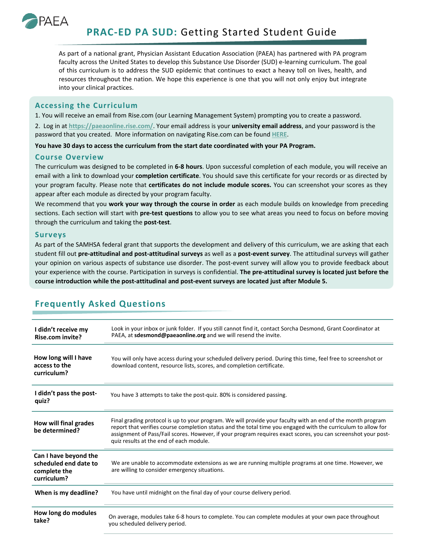

**PRAC-ED PA SUD:** Getting Started Student Guide

As part of a national grant, Physician Assistant Education Association (PAEA) has partnered with PA program faculty across the United States to develop this Substance Use Disorder (SUD) e-learning curriculum. The goal of this curriculum is to address the SUD epidemic that continues to exact a heavy toll on lives, health, and resources throughout the nation. We hope this experience is one that you will not only enjoy but integrate into your clinical practices.

## **Accessing the Curriculum**

1. You will receive an email from Rise.com (our Learning Management System) prompting you to create a password.

2. Log in at **<https://paeaonline.rise.com/>**. Your email address is your **university email address**, and your password is the password that you created. More information on navigating Rise.com can be found **[HERE](https://help.rise.com/en/articles/4105409-learner-faqs)**.

**You have 30 days to access the curriculum from the start date coordinated with your PA Program.**

## **Course Overview**

The curriculum was designed to be completed in **6-8 hours**. Upon successful completion of each module, you will receive an email with a link to download your **completion certificate**. You should save this certificate for your records or as directed by your program faculty. Please note that **certificates do not include module scores.** You can screenshot your scores as they appear after each module as directed by your program faculty.

We recommend that you **work your way through the course in order** as each module builds on knowledge from preceding sections. Each section will start with **pre-test questions** to allow you to see what areas you need to focus on before moving through the curriculum and taking the **post-test**.

## **Surveys**

As part of the SAMHSA federal grant that supports the development and delivery of this curriculum, we are asking that each student fill out **pre-attitudinal and post-attitudinal surveys** as well as a **post-event survey**. The attitudinal surveys will gather your opinion on various aspects of substance use disorder. The post-event survey will allow you to provide feedback about your experience with the course. Participation in surveys is confidential. **The pre-attitudinal survey is located just before the course introduction while the post-attitudinal and post-event surveys are located just after Module 5.**

| I didn't receive my<br><b>Rise.com invite?</b>                                | Look in your inbox or junk folder. If you still cannot find it, contact Sorcha Desmond, Grant Coordinator at<br>PAEA, at sdesmond@paeaonline.org and we will resend the invite.                                                                                                                                                                                                          |
|-------------------------------------------------------------------------------|------------------------------------------------------------------------------------------------------------------------------------------------------------------------------------------------------------------------------------------------------------------------------------------------------------------------------------------------------------------------------------------|
| How long will I have<br>access to the<br>curriculum?                          | You will only have access during your scheduled delivery period. During this time, feel free to screenshot or<br>download content, resource lists, scores, and completion certificate.                                                                                                                                                                                                   |
| I didn't pass the post-<br>quiz?                                              | You have 3 attempts to take the post-quiz. 80% is considered passing.                                                                                                                                                                                                                                                                                                                    |
| How will final grades<br>be determined?                                       | Final grading protocol is up to your program. We will provide your faculty with an end of the month program<br>report that verifies course completion status and the total time you engaged with the curriculum to allow for<br>assignment of Pass/Fail scores. However, if your program requires exact scores, you can screenshot your post-<br>quiz results at the end of each module. |
| Can I have beyond the<br>scheduled end date to<br>complete the<br>curriculum? | We are unable to accommodate extensions as we are running multiple programs at one time. However, we<br>are willing to consider emergency situations.                                                                                                                                                                                                                                    |
| When is my deadline?                                                          | You have until midnight on the final day of your course delivery period.                                                                                                                                                                                                                                                                                                                 |
| How long do modules<br>take?                                                  | On average, modules take 6-8 hours to complete. You can complete modules at your own pace throughout<br>you scheduled delivery period.                                                                                                                                                                                                                                                   |

## **Frequently Asked Questions**